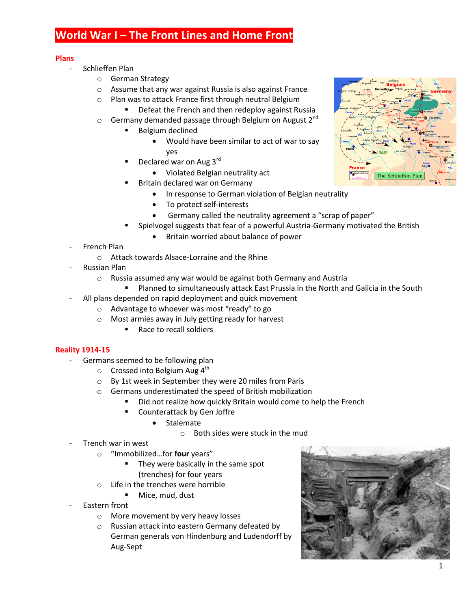# **World War I – The Front Lines and Home Front**

#### **Plans**

- Schlieffen Plan
	- o German Strategy
	- o Assume that any war against Russia is also against France
	- o Plan was to attack France first through neutral Belgium
		- **•** Defeat the French and then redeploy against Russia
	- $\circ$  Germany demanded passage through Belgium on August 2<sup>nd</sup>
		- Belgium declined
			- Would have been similar to act of war to say yes
		- Declared war on Aug 3rd
			- Violated Belgian neutrality act
		- Britain declared war on Germany
			- In response to German violation of Belgian neutrality
			- To protect self-interests
			- Germany called the neutrality agreement a "scrap of paper"
		- Spielvogel suggests that fear of a powerful Austria-Germany motivated the British
			- Britain worried about balance of power
- French Plan
	- o Attack towards Alsace-Lorraine and the Rhine
- Russian Plan
	- o Russia assumed any war would be against both Germany and Austria
		- Planned to simultaneously attack East Prussia in the North and Galicia in the South
- All plans depended on rapid deployment and quick movement
	- o Advantage to whoever was most "ready" to go
	- o Most armies away in July getting ready for harvest
		- Race to recall soldiers

#### **Reality 1914-15**

- Germans seemed to be following plan
	- $\circ$  Crossed into Belgium Aug 4<sup>th</sup>
	- o By 1st week in September they were 20 miles from Paris
	- o Germans underestimated the speed of British mobilization
		- Did not realize how quickly Britain would come to help the French
			- Counterattack by Gen Joffre
				- Stalemate
					- o Both sides were stuck in the mud
- Trench war in west
	- o "Immobilized…for **four** years"
		- They were basically in the same spot (trenches) for four years
	- o Life in the trenches were horrible
		- **Mice, mud, dust**
- Eastern front
	- o More movement by very heavy losses
	- o Russian attack into eastern Germany defeated by German generals von Hindenburg and Ludendorff by Aug-Sept



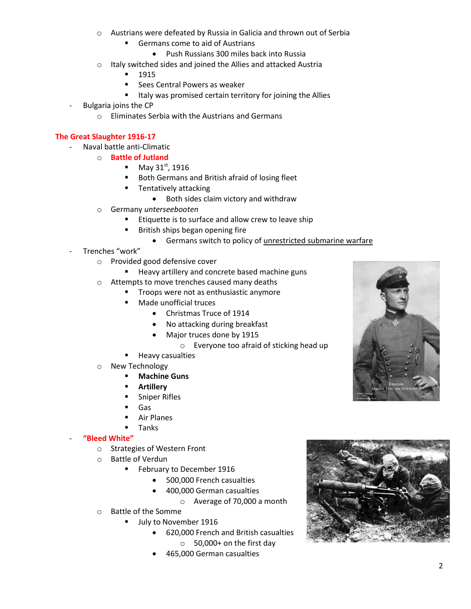- o Austrians were defeated by Russia in Galicia and thrown out of Serbia
	- **Germans come to aid of Austrians** 
		- Push Russians 300 miles back into Russia
- o Italy switched sides and joined the Allies and attacked Austria
	- 1915
	- Sees Central Powers as weaker
	- **If the Villams** 1 Italy was promised certain territory for joining the Allies
- Bulgaria joins the CP
	- o Eliminates Serbia with the Austrians and Germans

### **The Great Slaughter 1916-17**

- Naval battle anti-Climatic
	- o **Battle of Jutland**
		- May  $31^{\text{st}}$ , 1916
		- **Both Germans and British afraid of losing fleet**
		- **Tentatively attacking** 
			- Both sides claim victory and withdraw
	- o Germany *unterseebooten*
		- **Etiquette is to surface and allow crew to leave ship**
		- British ships began opening fire
			- Germans switch to policy of unrestricted submarine warfare
- Trenches "work"
	- o Provided good defensive cover
		- **Heavy artillery and concrete based machine guns**
	- o Attempts to move trenches caused many deaths
		- **Troops were not as enthusiastic anymore** 
			- Made unofficial truces
				- Christmas Truce of 1914
				- No attacking during breakfast
				- Major truces done by 1915
					- o Everyone too afraid of sticking head up
		- Heavy casualties
	- o New Technology
		- **Machine Guns**
		- **Artillery**
		- **Sniper Rifles**
		- Gas
		- Air Planes
		- Tanks

#### - **"Bleed White"**

- o Strategies of Western Front
- o Battle of Verdun
	- February to December 1916
		- 500,000 French casualties
			- 400,000 German casualties
				- o Average of 70,000 a month
- o Battle of the Somme
	- July to November 1916
		- 620,000 French and British casualties o 50,000+ on the first day
		- 465,000 German casualties



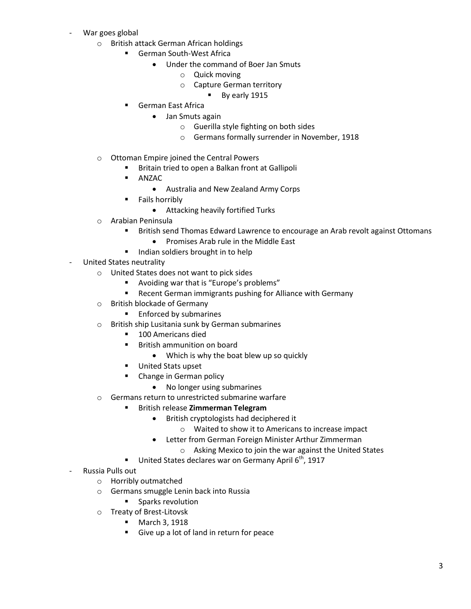- War goes global
	- o British attack German African holdings
		- German South-West Africa
			- Under the command of Boer Jan Smuts
				- o Quick moving
				- o Capture German territory
					- By early 1915
		- **German East Africa** 
			- Jan Smuts again
				- o Guerilla style fighting on both sides
				- o Germans formally surrender in November, 1918
	- o Ottoman Empire joined the Central Powers
		- **Britain tried to open a Balkan front at Gallipoli**
		- **ANZAC** 
			- Australia and New Zealand Army Corps
		- **Fails horribly** 
			- Attacking heavily fortified Turks
	- o Arabian Peninsula
		- British send Thomas Edward Lawrence to encourage an Arab revolt against Ottomans
			- Promises Arab rule in the Middle East
		- Indian soldiers brought in to help
- United States neutrality
	- o United States does not want to pick sides
		- Avoiding war that is "Europe's problems"
		- Recent German immigrants pushing for Alliance with Germany
	- o British blockade of Germany
		- **Enforced by submarines**
	- o British ship Lusitania sunk by German submarines
		- **100 Americans died**
		- **British ammunition on board** 
			- Which is why the boat blew up so quickly
		- **United Stats upset**
		- Change in German policy
			- No longer using submarines
	- o Germans return to unrestricted submarine warfare
		- British release **Zimmerman Telegram**
			- British cryptologists had deciphered it
				- o Waited to show it to Americans to increase impact
			- Letter from German Foreign Minister Arthur Zimmerman
				- o Asking Mexico to join the war against the United States
		- United States declares war on Germany April  $6<sup>th</sup>$ , 1917
- Russia Pulls out
	- o Horribly outmatched
	- o Germans smuggle Lenin back into Russia
		- **Sparks revolution**
	- o Treaty of Brest-Litovsk
		- **March 3, 1918**
		- Give up a lot of land in return for peace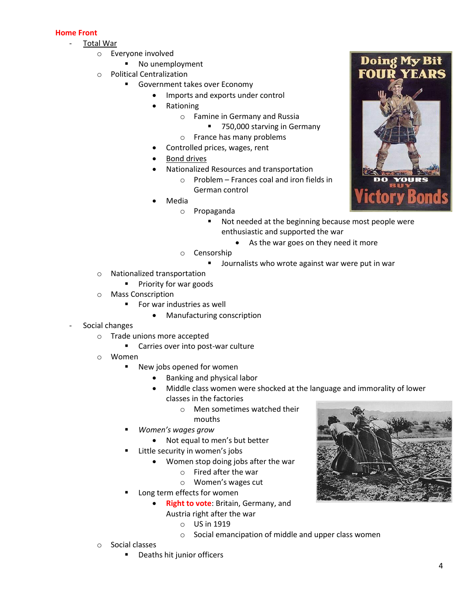## **Home Front**

- Total War
	- o Everyone involved
		- No unemployment
	- o Political Centralization
		- **Government takes over Economy** 
			- Imports and exports under control
			- Rationing
				- o Famine in Germany and Russia
					- 750,000 starving in Germany
				- o France has many problems
			- Controlled prices, wages, rent
			- Bond drives
			- Nationalized Resources and transportation
				- $\circ$  Problem Frances coal and iron fields in German control
			- Media
				- o Propaganda
					- **Not needed at the beginning because most people were** enthusiastic and supported the war
						- As the war goes on they need it more
				- o Censorship
					- Journalists who wrote against war were put in war
	- o Nationalized transportation
		- **Priority for war goods**
	- o Mass Conscription
		- **For war industries as well** 
			- Manufacturing conscription
- Social changes
	- o Trade unions more accepted
		- **EXEC** Carries over into post-war culture
	- o Women
		- **New jobs opened for women** 
			- Banking and physical labor
			- Middle class women were shocked at the language and immorality of lower classes in the factories
				- o Men sometimes watched their
				- mouths
		- *Women's wages grow*
			- Not equal to men's but better
		- Little security in women's jobs
			- Women stop doing jobs after the war
				- o Fired after the war
				- o Women's wages cut
		- Long term effects for women
			- **Right to vote**: Britain, Germany, and Austria right after the war
				- o US in 1919
				- o Social emancipation of middle and upper class women
	- o Social classes
		- Deaths hit junior officers



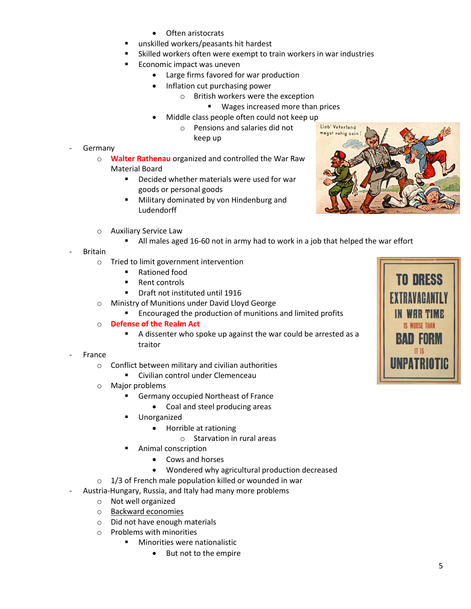- Often aristocrats
- unskilled workers/peasants hit hardest
- Skilled workers often were exempt to train workers in war industries
- Economic impact was uneven
	- Large firms favored for war production
	- Inflation cut purchasing power
		- o British workers were the exception
			- **Wages increased more than prices**
	- Middle class people often could not keep up
		- o Pensions and salaries did not keep up
- **Germany** 
	- o **Walter Rathenau** organized and controlled the War Raw Material Board
		- Decided whether materials were used for war goods or personal goods
		- **Military dominated by von Hindenburg and** Ludendorff
	- o Auxiliary Service Law
		- All males aged 16-60 not in army had to work in a job that helped the war effort
- **Britain** 
	- o Tried to limit government intervention
		- Rationed food
		- Rent controls
		- Draft not instituted until 1916
	- o Ministry of Munitions under David Lloyd George
		- **Encouraged the production of munitions and limited profits**
	- o **Defense of the Realm Act**
		- A dissenter who spoke up against the war could be arrested as a traitor
- **France** 
	- o Conflict between military and civilian authorities
		- **EXECT** Civilian control under Clemenceau
	- o Major problems
		- Germany occupied Northeast of France
			- Coal and steel producing areas
		- Unorganized
			- Horrible at rationing
				- o Starvation in rural areas
		- Animal conscription
			- Cows and horses
			- Wondered why agricultural production decreased
	- $\circ$  1/3 of French male population killed or wounded in war
- Austria-Hungary, Russia, and Italy had many more problems
	- o Not well organized
	- o Backward economies
	- o Did not have enough materials
	- o Problems with minorities
		- **Minorities were nationalistic** 
			- But not to the empire